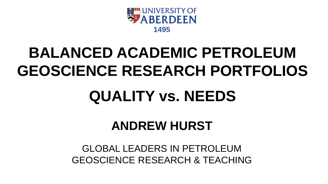

# **BALANCED ACADEMIC PETROLEUM GEOSCIENCE RESEARCH PORTFOLIOS**

# **QUALITY vs. NEEDS**

# **ANDREW HURST**

### GLOBAL LEADERS IN PETROLEUM GEOSCIENCE RESEARCH & TEACHING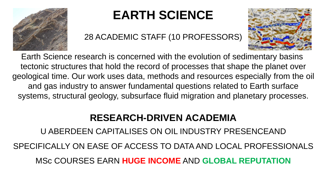

# **EARTH SCIENCE**

28 ACADEMIC STAFF (10 PROFESSORS)



Earth Science research is concerned with the evolution of sedimentary basins tectonic structures that hold the record of processes that shape the planet over geological time. Our work uses data, methods and resources especially from the oil and gas industry to answer fundamental questions related to Earth surface systems, structural geology, subsurface fluid migration and planetary processes.

### **RESEARCH-DRIVEN ACADEMIA RESEARCH-DRIVEN ACADEMIA**

U ABERDEEN CAPITALISES ON OIL INDUSTRY PRESENCEAND U ABERDEEN CAPITALISES ON OIL INDUSTRY PRESENCEAND SPECIFICALLY ON EASE OF ACCESS TO DATA AND LOCAL PROFESSIONALS SPECIFICALLY ON EASE OF ACCESS TO DATA AND LOCAL PROFESSIONALS MSc COURSES EARN HUGE INCOME AND GLOBAL REPUTATION MSc COURSES EARN **HUGE INCOME** AND **GLOBAL REPUTATION**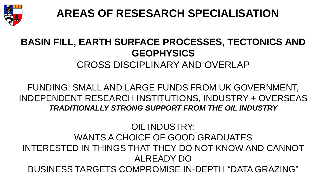

**AREAS OF RESESARCH SPECIALISATION**

### **BASIN FILL, EARTH SURFACE PROCESSES, TECTONICS AND GEOPHYSICS** CROSS DISCIPLINARY AND OVERLAP

### FUNDING: SMALL AND LARGE FUNDS FROM UK GOVERNMENT, INDEPENDENT RESEARCH INSTITUTIONS, INDUSTRY + OVERSEAS *TRADITIONALLY STRONG SUPPORT FROM THE OIL INDUSTRY*

### OIL INDUSTRY: WANTS A CHOICE OF GOOD GRADUATES INTERESTED IN THINGS THAT THEY DO NOT KNOW AND CANNOT ALREADY DO BUSINESS TARGETS COMPROMISE IN-DEPTH "DATA GRAZING"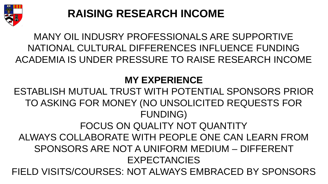

## **RAISING RESEARCH INCOME**

### MANY OIL INDUSRY PROFESSIONALS ARE SUPPORTIVE NATIONAL CULTURAL DIFFERENCES INFLUENCE FUNDING ACADEMIA IS UNDER PRESSURE TO RAISE RESEARCH INCOME

### **MY EXPERIENCE**

ESTABLISH MUTUAL TRUST WITH POTENTIAL SPONSORS PRIOR TO ASKING FOR MONEY (NO UNSOLICITED REQUESTS FOR FUNDING) FOCUS ON QUALITY NOT QUANTITY ALWAYS COLLABORATE WITH PEOPLE ONE CAN LEARN FROM SPONSORS ARE NOT A UNIFORM MEDIUM – DIFFERENT EXPECTANCIES FIELD VISITS/COURSES: NOT ALWAYS EMBRACED BY SPONSORS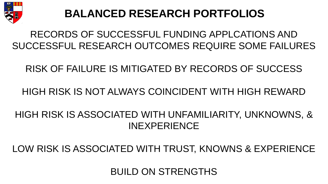

### **BALANCED RESEARCH PORTFOLIOS**

# RECORDS OF SUCCESSFUL FUNDING APPLCATIONS AND RECORDS OF SUCCESSFUL FUNDING APPLCATIONS AND SUCCESSFUL RESEARCH OUTCOMES REQUIRE SOME FAILURES SUCCESSFUL RESEARCH OUTCOMES REQUIRE SOME FAILURES RECORDS OF SUCCESSFUL FUNDING APPLCATIONS AND<br>SUCCESSFUL RESEARCH OUTCOMES REQUIRE SOME FAILURES<br>RISK OF FAILURE IS MITIGATED BY RECORDS OF SUCCESS<br>HIGH RISK IS NOT ALWAYS COINCIDENT WITH HIGH REWARD<br>HIGH RISK IS ASSOCIATE

### RISK OF FAILURE IS MITIGATED BY RECORDS OF SUCCESS RISK OF FAILURE IS MITIGATED BY RECORDS OF SUCCESS

### HIGH RISK IS NOT ALWAYS COINCIDENT WITH HIGH REWARD

# INEXPERIENCE HIGH RISK IS ASSOCIATED WITH UNFAMILIARITY, UNKNOWNS, & RECORDS OF SUCCESSFUL FUNDING APPLCATIONS AND<br>SUCCESSFUL RESEARCH OUTCOMES REQUIRE SOME FAILURES<br>RISK OF FAILURE IS MITIGATED BY RECORDS OF SUCCESS<br>HIGH RISK IS NOT ALWAYS COINCIDENT WITH HIGH REWARD<br>HIGH RISK IS ASSOCIATE

LOW RISK IS ASSOCIATED WITH TRUST, KNOWNS & EXPERIENCE<br>BUILD ON STRENGTHS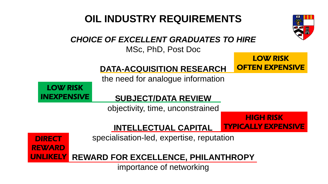### **OIL INDUSTRY REQUIREMENTS OIL INDUSTRY REQUIREMENTS**



### CHOICE OF EXCELLENT GRADUATES TO HIRE *CHOICE OF EXCELLENT GRADUATES TO HIRE*

MSc, PhD, Post Doc MSc, PhD, Post Doc

### LOW RISK OFTEN EXPENSIVE

HIGH RISK

### DATA-ACQUISITION RESEARCH **DATA-ACQUISITION RESEARCH**

the need for analogue information

LOW RISK INEXPENSIVE

### SUBJECT/DATA REVIEW **SUBJECT/DATA REVIEW**

objectivity, time, unconstrained

INTELLECTUAL CAPITAL **INTELLECTUAL CAPITAL**

TYPICALLY EXPENSIVE

**DIRECT** REWARD specialisation-led, expertise, reputation

**REWARD FOR EXCELLENCE, PHILANTHROPY** UNLIKELY

importance of networking